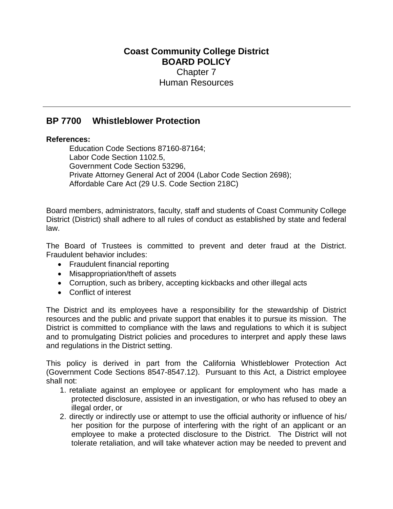## **Coast Community College District BOARD POLICY** Chapter 7 Human Resources

## **BP 7700 Whistleblower Protection**

## **References:**

Education Code Sections 87160-87164; Labor Code Section 1102.5, Government Code Section 53296, Private Attorney General Act of 2004 (Labor Code Section 2698); Affordable Care Act (29 U.S. Code Section 218C)

Board members, administrators, faculty, staff and students of Coast Community College District (District) shall adhere to all rules of conduct as established by state and federal law.

The Board of Trustees is committed to prevent and deter fraud at the District. Fraudulent behavior includes:

- Fraudulent financial reporting
- Misappropriation/theft of assets
- Corruption, such as bribery, accepting kickbacks and other illegal acts
- Conflict of interest

The District and its employees have a responsibility for the stewardship of District resources and the public and private support that enables it to pursue its mission. The District is committed to compliance with the laws and regulations to which it is subject and to promulgating District policies and procedures to interpret and apply these laws and regulations in the District setting.

This policy is derived in part from the California Whistleblower Protection Act (Government Code Sections 8547-8547.12). Pursuant to this Act, a District employee shall not:

- 1. retaliate against an employee or applicant for employment who has made a protected disclosure, assisted in an investigation, or who has refused to obey an illegal order, or
- 2. directly or indirectly use or attempt to use the official authority or influence of his/ her position for the purpose of interfering with the right of an applicant or an employee to make a protected disclosure to the District. The District will not tolerate retaliation, and will take whatever action may be needed to prevent and